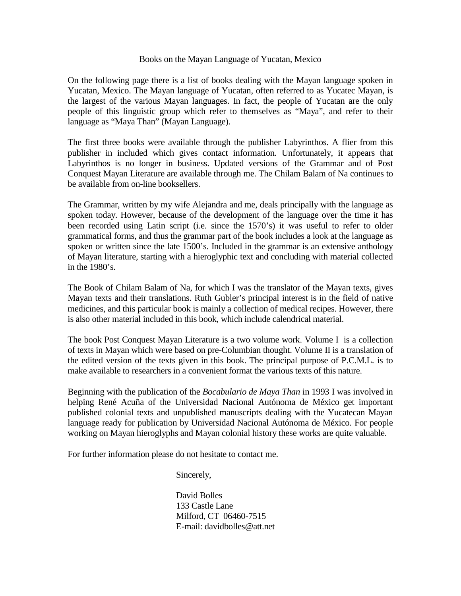### Books on the Mayan Language of Yucatan, Mexico

On the following page there is a list of books dealing with the Mayan language spoken in Yucatan, Mexico. The Mayan language of Yucatan, often referred to as Yucatec Mayan, is the largest of the various Mayan languages. In fact, the people of Yucatan are the only people of this linguistic group which refer to themselves as "Maya", and refer to their language as "Maya Than" (Mayan Language).

The first three books were available through the publisher Labyrinthos. A flier from this publisher in included which gives contact information. Unfortunately, it appears that Labyrinthos is no longer in business. Updated versions of the Grammar and of Post Conquest Mayan Literature are available through me. The Chilam Balam of Na continues to be available from on-line booksellers.

The Grammar, written by my wife Alejandra and me, deals principally with the language as spoken today. However, because of the development of the language over the time it has been recorded using Latin script (i.e. since the 1570's) it was useful to refer to older grammatical forms, and thus the grammar part of the book includes a look at the language as spoken or written since the late 1500's. Included in the grammar is an extensive anthology of Mayan literature, starting with a hieroglyphic text and concluding with material collected in the 1980's.

The Book of Chilam Balam of Na, for which I was the translator of the Mayan texts, gives Mayan texts and their translations. Ruth Gubler's principal interest is in the field of native medicines, and this particular book is mainly a collection of medical recipes. However, there is also other material included in this book, which include calendrical material.

The book Post Conquest Mayan Literature is a two volume work. Volume I is a collection of texts in Mayan which were based on pre-Columbian thought. Volume II is a translation of the edited version of the texts given in this book. The principal purpose of P.C.M.L. is to make available to researchers in a convenient format the various texts of this nature.

Beginning with the publication of the *Bocabulario de Maya Than* in 1993 I was involved in helping René Acuña of the Universidad Nacional Autónoma de México get important published colonial texts and unpublished manuscripts dealing with the Yucatecan Mayan language ready for publication by Universidad Nacional Autónoma de México. For people working on Mayan hieroglyphs and Mayan colonial history these works are quite valuable.

For further information please do not hesitate to contact me.

Sincerely,

 David Bolles 133 Castle Lane Milford, CT 06460-7515 E-mail: davidbolles@att.net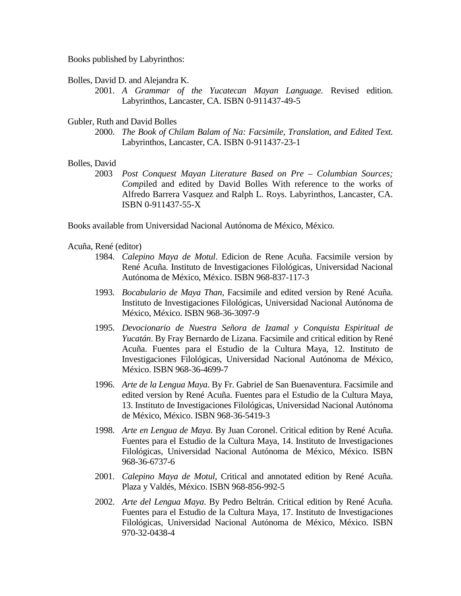Books published by Labyrinthos:

Bolles, David D. and Alejandra K.

 2001. *A Grammar of the Yucatecan Mayan Language.* Revised edition. Labyrinthos, Lancaster, CA. ISBN 0-911437-49-5

Gubler, Ruth and David Bolles

 2000. *The Book of Chilam Balam of Na: Facsimile, Translation, and Edited Text.* Labyrinthos, Lancaster, CA. ISBN 0-911437-23-1

# Bolles, David

 2003 *Post Conquest Mayan Literature Based on Pre – Columbian Sources; Comp*iled and edited by David Bolles With reference to the works of Alfredo Barrera Vasquez and Ralph L. Roys. Labyrinthos, Lancaster, CA. ISBN 0-911437-55-X

Books available from Universidad Nacional Autónoma de México, México.

Acuña, René (editor)

- 1984. *Calepino Maya de Motul*. Edicion de Rene Acuña. Facsimile version by René Acuña. Instituto de Investigaciones Filológicas, Universidad Nacional Autónoma de México, México. ISBN 968-837-117-3
- 1993. *Bocabulario de Maya Than*, Facsimile and edited version by René Acuña. Instituto de Investigaciones Filológicas, Universidad Nacional Autónoma de México, México. ISBN 968-36-3097-9
- 1995. *Devocionario de Nuestra Señora de Izamal y Conquista Espiritual de Yucatán*. By Fray Bernardo de Lizana. Facsimile and critical edition by René Acuña. Fuentes para el Estudio de la Cultura Maya, 12. Instituto de Investigaciones Filológicas, Universidad Nacional Autónoma de México, México. ISBN 968-36-4699-7
- 1996. *Arte de la Lengua Maya*. By Fr. Gabriel de San Buenaventura. Facsimile and edited version by René Acuña. Fuentes para el Estudio de la Cultura Maya, 13. Instituto de Investigaciones Filológicas, Universidad Nacional Autónoma de México, México. ISBN 968-36-5419-3
- 1998. *Arte en Lengua de Maya*. By Juan Coronel. Critical edition by René Acuña. Fuentes para el Estudio de la Cultura Maya, 14. Instituto de Investigaciones Filológicas, Universidad Nacional Autónoma de México, México. ISBN 968-36-6737-6
- 2001. *Calepino Maya de Motul*, Critical and annotated edition by René Acuña. Plaza y Valdés, México. ISBN 968-856-992-5
- 2002. *Arte del Lengua Maya*. By Pedro Beltrán. Critical edition by René Acuña. Fuentes para el Estudio de la Cultura Maya, 17. Instituto de Investigaciones Filológicas, Universidad Nacional Autónoma de México, México. ISBN 970-32-0438-4